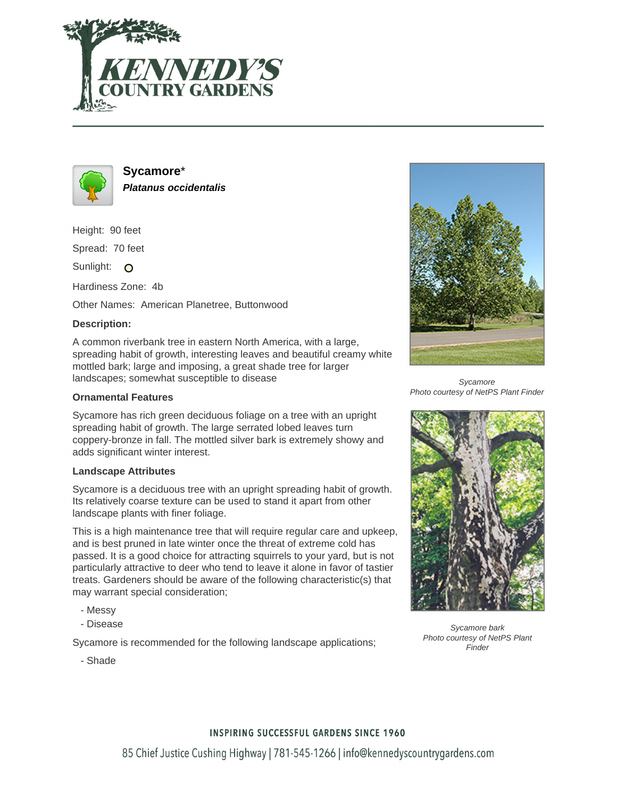



**Sycamore**\* **Platanus occidentalis**

Height: 90 feet

Spread: 70 feet

Sunlight: O

Hardiness Zone: 4b

Other Names: American Planetree, Buttonwood

## **Description:**

A common riverbank tree in eastern North America, with a large, spreading habit of growth, interesting leaves and beautiful creamy white mottled bark; large and imposing, a great shade tree for larger landscapes; somewhat susceptible to disease

### **Ornamental Features**

Sycamore has rich green deciduous foliage on a tree with an upright spreading habit of growth. The large serrated lobed leaves turn coppery-bronze in fall. The mottled silver bark is extremely showy and adds significant winter interest.

#### **Landscape Attributes**

Sycamore is a deciduous tree with an upright spreading habit of growth. Its relatively coarse texture can be used to stand it apart from other landscape plants with finer foliage.

This is a high maintenance tree that will require regular care and upkeep, and is best pruned in late winter once the threat of extreme cold has passed. It is a good choice for attracting squirrels to your yard, but is not particularly attractive to deer who tend to leave it alone in favor of tastier treats. Gardeners should be aware of the following characteristic(s) that may warrant special consideration;

- Messy
- Disease

Sycamore is recommended for the following landscape applications;

- Shade



**Sycamore** Photo courtesy of NetPS Plant Finder



Sycamore bark Photo courtesy of NetPS Plant Finder

# **INSPIRING SUCCESSFUL GARDENS SINCE 1960**